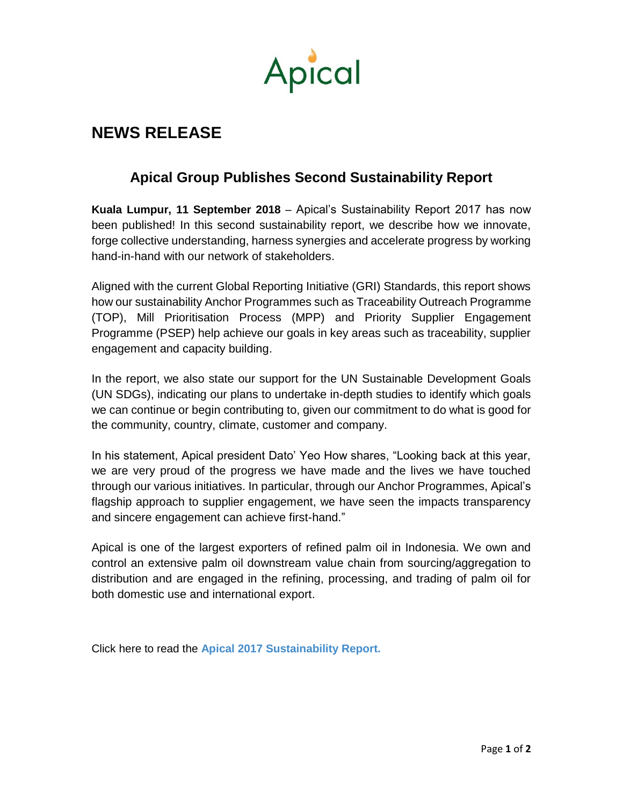

## **NEWS RELEASE**

## **Apical Group Publishes Second Sustainability Report**

**Kuala Lumpur, 11 September 2018** – Apical's Sustainability Report 2017 has now been published! In this second sustainability report, we describe how we innovate, forge collective understanding, harness synergies and accelerate progress by working hand-in-hand with our network of stakeholders.

Aligned with the current Global Reporting Initiative (GRI) Standards, this report shows how our sustainability Anchor Programmes such as Traceability Outreach Programme (TOP), Mill Prioritisation Process (MPP) and Priority Supplier Engagement Programme (PSEP) help achieve our goals in key areas such as traceability, supplier engagement and capacity building.

In the report, we also state our support for the UN Sustainable Development Goals (UN SDGs), indicating our plans to undertake in-depth studies to identify which goals we can continue or begin contributing to, given our commitment to do what is good for the community, country, climate, customer and company.

In his statement, Apical president Dato' Yeo How shares, "Looking back at this year, we are very proud of the progress we have made and the lives we have touched through our various initiatives. In particular, through our Anchor Programmes, Apical's flagship approach to supplier engagement, we have seen the impacts transparency and sincere engagement can achieve first-hand."

Apical is one of the largest exporters of refined palm oil in Indonesia. We own and control an extensive palm oil downstream value chain from sourcing/aggregation to distribution and are engaged in the refining, processing, and trading of palm oil for both domestic use and international export.

Click here to read the **[Apical 2017 Sustainability Report.](https://www.apicalgroup.com/wp-content/uploads/2018/09/apical-sustainability-report-sr17-standard.pdf)**